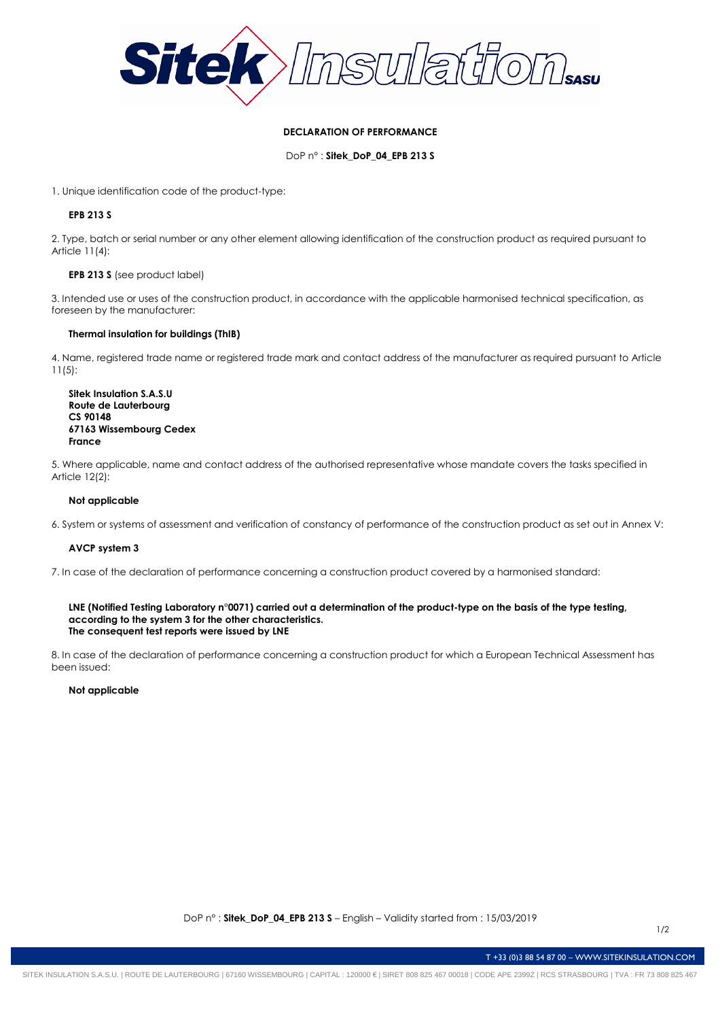

### **DECLARATION OF PERFORMANCE**

DoP n° : **Sitek\_DoP\_04\_EPB 213 S**

1. Unique identification code of the product-type:

## **EPB 213 S**

2. Type, batch or serial number or any other element allowing identification of the construction product as required pursuant to Article 11(4):

### **EPB 213 S** (see product label)

3. Intended use or uses of the construction product, in accordance with the applicable harmonised technical specification, as foreseen by the manufacturer:

# **Thermal insulation for buildings (ThIB)**

4. Name, registered trade name or registered trade mark and contact address of the manufacturer as required pursuant to Article 11(5):

**Sitek Insulation S.A.S.U Route de Lauterbourg CS 90148 67163 Wissembourg Cedex France**

5. Where applicable, name and contact address of the authorised representative whose mandate covers the tasks specified in Article 12(2):

### **Not applicable**

6. System or systems of assessment and verification of constancy of performance of the construction product as set out in Annex V:

### **AVCP system 3**

7. In case of the declaration of performance concerning a construction product covered by a harmonised standard:

#### **LNE (Notified Testing Laboratory n°0071) carried out a determination of the product-type on the basis of the type testing, according to the system 3 for the other characteristics. The consequent test reports were issued by LNE**

8. In case of the declaration of performance concerning a construction product for which a European Technical Assessment has been issued:

### **Not applicable**

T +33 (0)3 88 54 87 00 – WWW.SITEKINSULATION.COM